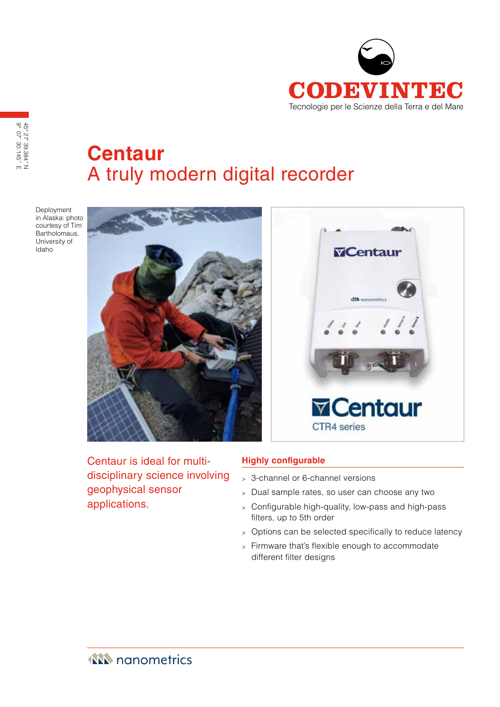

**Centaur** A truly modern digital recorder

Deployment in Alaska: photo courtesy of Tim Bartholomaus, University of Idaho

9° 07' 30.145'' E 45° 27' 39.384'' N

45° 27' 39.384" N<br>9° 07' 30.145" E



Centaur is ideal for multidisciplinary science involving geophysical sensor applications.

### **Highly configurable**

- <sup>&</sup>gt; 3-channel or 6-channel versions
- <sup>&</sup>gt; Dual sample rates, so user can choose any two
- <sup>&</sup>gt; Configurable high-quality, low-pass and high-pass filters, up to 5th order
- <sup>&</sup>gt; Options can be selected specifically to reduce latency
- <sup>&</sup>gt; Firmware that's flexible enough to accommodate different filter designs

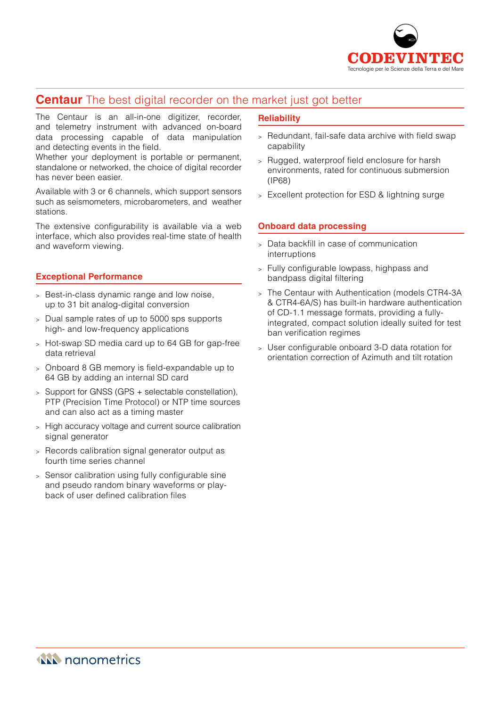

# **Centaur** The best digital recorder on the market just got better

The Centaur is an all-in-one digitizer, recorder, and telemetry instrument with advanced on-board data processing capable of data manipulation and detecting events in the field.

Whether your deployment is portable or permanent, standalone or networked, the choice of digital recorder has never been easier.

Available with 3 or 6 channels, which support sensors such as seismometers, microbarometers, and weather stations.

The extensive configurability is available via a web interface, which also provides real-time state of health and waveform viewing.

### **Exceptional Performance**

- <sup>&</sup>gt; Best-in-class dynamic range and low noise, up to 31 bit analog-digital conversion
- <sup>&</sup>gt; Dual sample rates of up to 5000 sps supports high- and low-frequency applications
- <sup>&</sup>gt; Hot-swap SD media card up to 64 GB for gap-free data retrieval
- <sup>&</sup>gt; Onboard 8 GB memory is field-expandable up to 64 GB by adding an internal SD card
- <sup>&</sup>gt; Support for GNSS (GPS + selectable constellation), PTP (Precision Time Protocol) or NTP time sources and can also act as a timing master
- <sup>&</sup>gt; High accuracy voltage and current source calibration signal generator
- <sup>&</sup>gt; Records calibration signal generator output as fourth time series channel
- <sup>&</sup>gt; Sensor calibration using fully configurable sine and pseudo random binary waveforms or playback of user defined calibration files

### **Reliability**

- <sup>&</sup>gt; Redundant, fail-safe data archive with field swap capability
- <sup>&</sup>gt; Rugged, waterproof field enclosure for harsh environments, rated for continuous submersion (IP68)
- <sup>&</sup>gt; Excellent protection for ESD & lightning surge

### **Onboard data processing**

- <sup>&</sup>gt; Data backfill in case of communication interruptions
- <sup>&</sup>gt; Fully configurable lowpass, highpass and bandpass digital filtering
- <sup>&</sup>gt; The Centaur with Authentication (models CTR4-3A & CTR4-6A/S) has built-in hardware authentication of CD-1.1 message formats, providing a fullyintegrated, compact solution ideally suited for test ban verification regimes
- <sup>&</sup>gt; User configurable onboard 3-D data rotation for orientation correction of Azimuth and tilt rotation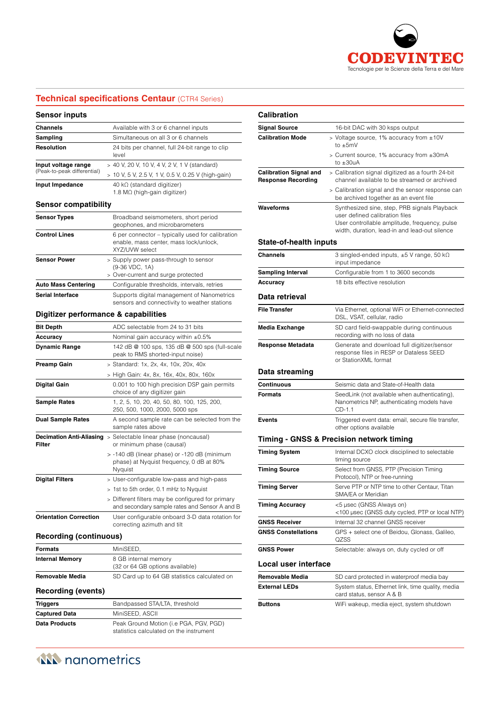

## **Technical specifications Centaur** (CTR4 Series)

#### **Sensor inputs**

| Channels                    | Available with 3 or 6 channel inputs                                                                         |
|-----------------------------|--------------------------------------------------------------------------------------------------------------|
| Sampling                    | Simultaneous on all 3 or 6 channels                                                                          |
| Resolution                  | 24 bits per channel, full 24-bit range to clip<br>level                                                      |
| Input voltage range         | > 40 V, 20 V, 10 V, 4 V, 2 V, 1 V (standard)                                                                 |
| (Peak-to-peak differential) | > 10 V, 5 V, 2.5 V, 1 V, 0.5 V, 0.25 V (high-gain)                                                           |
| Input Impedance             | 40 k $\Omega$ (standard digitizer)<br>1.8 $M\Omega$ (high-gain digitizer)                                    |
| <b>Sensor compatibility</b> |                                                                                                              |
| <b>Sensor Types</b>         | Broadband seismometers, short period<br>geophones, and microbarometers                                       |
| <b>Control Lines</b>        | 6 per connector – typically used for calibration<br>enable, mass center, mass lock/unlock,<br>XYZ/UVW select |
| <b>Sensor Power</b>         | > Supply power pass-through to sensor<br>(9-36 VDC, 1A)                                                      |
|                             | > Over-current and surge protected                                                                           |
| <b>Auto Mass Centering</b>  | Configurable thresholds, intervals, retries                                                                  |
| <b>Serial Interface</b>     | Supports digital management of Nanometrics<br>sensors and connectivity to weather stations                   |

#### **Digitizer performance & capabilities**

| <b>Bit Depth</b>              | ADC selectable from 24 to 31 bits                                                                   |
|-------------------------------|-----------------------------------------------------------------------------------------------------|
| Accuracy                      | Nominal gain accuracy within $\pm 0.5\%$                                                            |
| <b>Dynamic Range</b>          | 142 dB @ 100 sps, 135 dB @ 500 sps (full-scale<br>peak to RMS shorted-input noise)                  |
| <b>Preamp Gain</b>            | > Standard: 1x, 2x, 4x, 10x, 20x, 40x                                                               |
|                               | > High Gain: 4x, 8x, 16x, 40x, 80x, 160x                                                            |
| <b>Digital Gain</b>           | 0.001 to 100 high precision DSP gain permits<br>choice of any digitizer gain                        |
| <b>Sample Rates</b>           | 1, 2, 5, 10, 20, 40, 50, 80, 100, 125, 200,<br>250, 500, 1000, 2000, 5000 sps                       |
| <b>Dual Sample Rates</b>      | A second sample rate can be selected from the<br>sample rates above                                 |
| Filter                        | <b>Decimation Anti-Aliasing</b> > Selectable linear phase (noncausal)<br>or minimum phase (causal)  |
|                               | > -140 dB (linear phase) or -120 dB (minimum<br>phase) at Nyquist frequency, 0 dB at 80%<br>Nyquist |
| <b>Digital Filters</b>        | > User-configurable low-pass and high-pass                                                          |
|                               | > 1st to 5th order, 0.1 mHz to Nyquist                                                              |
|                               | > Different filters may be configured for primary<br>and secondary sample rates and Sensor A and B  |
| <b>Orientation Correction</b> | User configurable onboard 3-D data rotation for<br>correcting azimuth and tilt                      |

### **Recording (continuous)**

| <b>Formats</b>            | MiniSEED,                                               |
|---------------------------|---------------------------------------------------------|
| <b>Internal Memory</b>    | 8 GB internal memory<br>(32 or 64 GB options available) |
| <b>Removable Media</b>    | SD Card up to 64 GB statistics calculated on            |
| <b>Recording (events)</b> |                                                         |
| <b>Triggers</b>           | Bandpassed STA/LTA, threshold                           |
| <b>Captured Data</b>      | MiniSEED, ASCII                                         |
| Data Products             | Peak Ground Motion (i.e PGA, PGV, PGD)                  |

statistics calculated on the instrument

| Calibration                                                |                                                                                                                                                                                  |
|------------------------------------------------------------|----------------------------------------------------------------------------------------------------------------------------------------------------------------------------------|
| <b>Signal Source</b>                                       | 16-bit DAC with 30 ksps output                                                                                                                                                   |
| <b>Calibration Mode</b>                                    | > Voltage source, 1% accuracy from $±10V$<br>to $\pm 5$ mV                                                                                                                       |
|                                                            | > Current source, 1% accuracy from ±30mA<br>to $\pm 30$ uA                                                                                                                       |
| <b>Calibration Signal and</b><br><b>Response Recording</b> | > Calibration signal digitized as a fourth 24-bit<br>channel available to be streamed or archived                                                                                |
|                                                            | > Calibration signal and the sensor response can<br>be archived together as an event file                                                                                        |
| Waveforms                                                  | Synthesized sine, step, PRB signals Playback<br>user defined calibration files<br>User controllable amplitude, frequency, pulse<br>width, duration, lead-in and lead-out silence |
| <b>State-of-health inputs</b>                              |                                                                                                                                                                                  |
| <b>Channels</b>                                            | 3 singled-ended inputs, $\pm 5$ V range, 50 k $\Omega$<br>input impedance                                                                                                        |
| <b>Sampling Interval</b>                                   | Configurable from 1 to 3600 seconds                                                                                                                                              |
| Accuracy                                                   | 18 bits effective resolution                                                                                                                                                     |
| Data retrieval                                             |                                                                                                                                                                                  |
| <b>File Transfer</b>                                       | Via Ethernet, optional WiFi or Ethernet-connected<br>DSL, VSAT, cellular, radio                                                                                                  |
| Media Exchange                                             | SD card field-swappable during continuous<br>recording with no loss of data                                                                                                      |
| <b>Response Metadata</b>                                   | Generate and download full digitizer/sensor<br>response files in RESP or Dataless SEED<br>or StationXML format                                                                   |
| Data streaming                                             |                                                                                                                                                                                  |
| Continuous                                                 | Seismic data and State-of-Health data                                                                                                                                            |
| <b>Formats</b>                                             | SeedLink (not available when authenticating),<br>Nanometrics NP, authenticating models have<br>CD-1.1                                                                            |
| <b>Events</b>                                              | Triggered event data: email, secure file transfer,<br>other options available                                                                                                    |
|                                                            | Timing - GNSS & Precision network timing                                                                                                                                         |
| <b>Timing System</b>                                       | Internal DCXO clock disciplined to selectable<br>timing source                                                                                                                   |
| <b>Timing Source</b>                                       | Select from GNSS, PTP (Precision Timing<br>Protocol), NTP or free-running                                                                                                        |
| <b>Timing Server</b>                                       | Serve PTP or NTP time to other Centaur, Titan<br>SMA/EA or Meridian                                                                                                              |
| <b>Timing Accuracy</b>                                     | <5 µsec (GNSS Always on)<br><100 µsec (GNSS duty cycled, PTP or local NTP)                                                                                                       |
| <b>GNSS Receiver</b>                                       | Internal 32 channel GNSS receiver                                                                                                                                                |
| <b>GNSS Constellations</b>                                 | GPS + select one of Beidou, Glonass, Galileo,<br>QZSS                                                                                                                            |
| <b>GNSS Power</b>                                          | Selectable: always on, duty cycled or off                                                                                                                                        |
| Local user interface                                       |                                                                                                                                                                                  |
| Removable Media                                            | SD card protected in waterproof media bay                                                                                                                                        |
| <b>External LEDs</b>                                       | System status, Ethernet link, time quality, media<br>card status, sensor A & B                                                                                                   |
| Buttons                                                    | WiFi wakeup, media eject, system shutdown                                                                                                                                        |
|                                                            |                                                                                                                                                                                  |